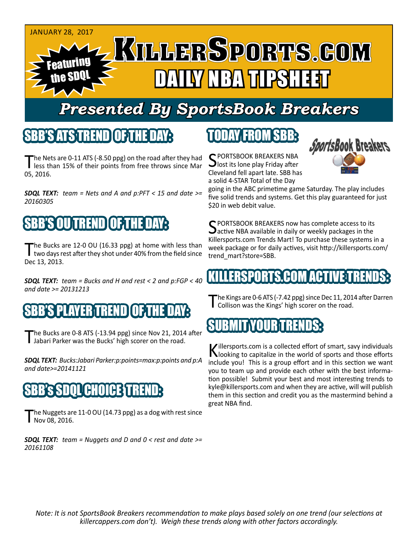

# *Presented By SportsBook Breakers*

#### SBB'S ATSTREN

The Nets are 0-11 ATS (-8.50 ppg) on the road after they had<br>less than 15% of their points from free throws since Mar 05, 2016.

*SDQL TEXT: team = Nets and A and p:PFT < 15 and date >= 20160305*

# 'S OUITREND

The Bucks are 12-0 OU (16.33 ppg) at home with less than two days rest after they shot under 40% from the field since Dec 13, 2013.

*SDQL TEXT: team = Bucks and H and rest < 2 and p:FGP < 40 and date >= 20131213*

### S PLAYER TREN

The Bucks are 0-8 ATS (-13.94 ppg) since Nov 21, 2014 after<br>
Jabari Parker was the Bucks' high scorer on the road.

*SDQL TEXT: Bucks:Jabari Parker:p:points=max:p:points and p:A and date>=20141121*

#### CHOICE:

'he Nuggets are 11-0 OU (14.73 ppg) as a dog with rest since Nov 08, 2016.

*SDQL TEXT: team = Nuggets and D and 0 < rest and date >= 20161108*

## TODAY FROM SBB:

C PORTSBOOK BREAKERS NBA  $\bigcup$  lost its lone play Friday after Cleveland fell apart late. SBB has a solid 4-STAR Total of the Day



going in the ABC primetime game Saturday. The play includes five solid trends and systems. Get this play guaranteed for just \$20 in web debit value.

C PORTSBOOK BREAKERS now has complete access to its  $\Delta$ active NBA available in daily or weekly packages in the Killersports.com Trends Mart! To purchase these systems in a week package or for daily actives, visit http://killersports.com/ trend\_mart?store=SBB.

#### IKILLERSPORTS.COM ACTIVE:T

The Kings are 0-6 ATS (-7.42 ppg) since Dec 11, 2014 after Darren<br>
Collison was the Kings' high scorer on the road.

#### SUBMIT YOUR TRENDS:

Killersports.com is a collected effort of smart, savy individuals<br>Nooking to capitalize in the world of sports and those efforts include you! This is a group effort and in this section we want you to team up and provide each other with the best information possible! Submit your best and most interesting trends to kyle@killersports.com and when they are active, will will publish them in this section and credit you as the mastermind behind a great NBA find.

*Note: It is not SportsBook Breakers recommendation to make plays based solely on one trend (our selections at killercappers.com don't). Weigh these trends along with other factors accordingly.*